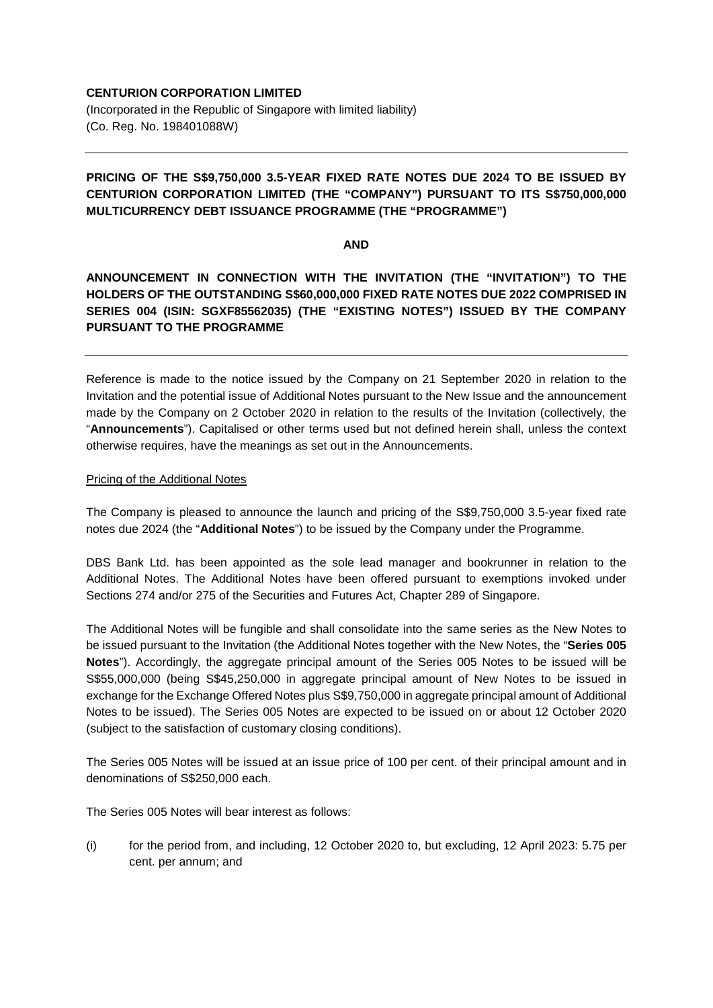## **CENTURION CORPORATION LIMITED**

(Incorporated in the Republic of Singapore with limited liability) (Co. Reg. No. 198401088W)

# **PRICING OF THE S\$9,750,000 3.5-YEAR FIXED RATE NOTES DUE 2024 TO BE ISSUED BY CENTURION CORPORATION LIMITED (THE "COMPANY") PURSUANT TO ITS S\$750,000,000 MULTICURRENCY DEBT ISSUANCE PROGRAMME (THE "PROGRAMME")**

#### **AND**

**ANNOUNCEMENT IN CONNECTION WITH THE INVITATION (THE "INVITATION") TO THE HOLDERS OF THE OUTSTANDING S\$60,000,000 FIXED RATE NOTES DUE 2022 COMPRISED IN SERIES 004 (ISIN: SGXF85562035) (THE "EXISTING NOTES") ISSUED BY THE COMPANY PURSUANT TO THE PROGRAMME**

Reference is made to the notice issued by the Company on 21 September 2020 in relation to the Invitation and the potential issue of Additional Notes pursuant to the New Issue and the announcement made by the Company on 2 October 2020 in relation to the results of the Invitation (collectively, the "**Announcements**"). Capitalised or other terms used but not defined herein shall, unless the context otherwise requires, have the meanings as set out in the Announcements.

### Pricing of the Additional Notes

The Company is pleased to announce the launch and pricing of the S\$9,750,000 3.5-year fixed rate notes due 2024 (the "**Additional Notes**") to be issued by the Company under the Programme.

DBS Bank Ltd. has been appointed as the sole lead manager and bookrunner in relation to the Additional Notes. The Additional Notes have been offered pursuant to exemptions invoked under Sections 274 and/or 275 of the Securities and Futures Act, Chapter 289 of Singapore.

The Additional Notes will be fungible and shall consolidate into the same series as the New Notes to be issued pursuant to the Invitation (the Additional Notes together with the New Notes, the "**Series 005 Notes**"). Accordingly, the aggregate principal amount of the Series 005 Notes to be issued will be S\$55,000,000 (being S\$45,250,000 in aggregate principal amount of New Notes to be issued in exchange for the Exchange Offered Notes plus S\$9,750,000 in aggregate principal amount of Additional Notes to be issued). The Series 005 Notes are expected to be issued on or about 12 October 2020 (subject to the satisfaction of customary closing conditions).

The Series 005 Notes will be issued at an issue price of 100 per cent. of their principal amount and in denominations of S\$250,000 each.

The Series 005 Notes will bear interest as follows:

(i) for the period from, and including, 12 October 2020 to, but excluding, 12 April 2023: 5.75 per cent. per annum; and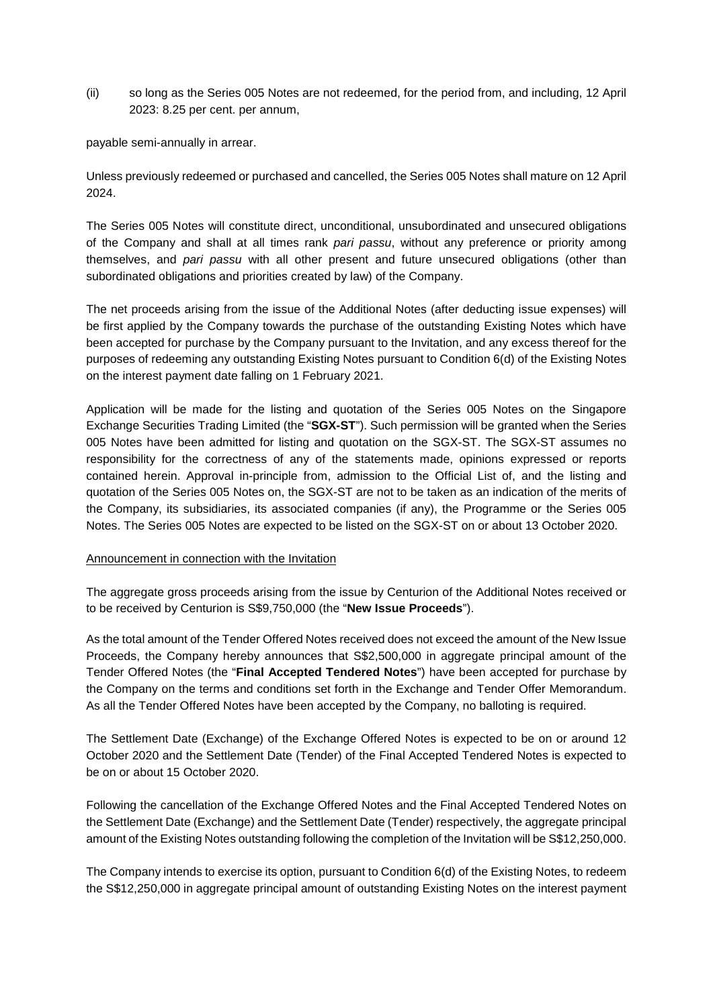(ii) so long as the Series 005 Notes are not redeemed, for the period from, and including, 12 April 2023: 8.25 per cent. per annum,

payable semi-annually in arrear.

Unless previously redeemed or purchased and cancelled, the Series 005 Notes shall mature on 12 April 2024.

The Series 005 Notes will constitute direct, unconditional, unsubordinated and unsecured obligations of the Company and shall at all times rank *pari passu*, without any preference or priority among themselves, and *pari passu* with all other present and future unsecured obligations (other than subordinated obligations and priorities created by law) of the Company.

The net proceeds arising from the issue of the Additional Notes (after deducting issue expenses) will be first applied by the Company towards the purchase of the outstanding Existing Notes which have been accepted for purchase by the Company pursuant to the Invitation, and any excess thereof for the purposes of redeeming any outstanding Existing Notes pursuant to Condition 6(d) of the Existing Notes on the interest payment date falling on 1 February 2021.

Application will be made for the listing and quotation of the Series 005 Notes on the Singapore Exchange Securities Trading Limited (the "**SGX-ST**"). Such permission will be granted when the Series 005 Notes have been admitted for listing and quotation on the SGX-ST. The SGX-ST assumes no responsibility for the correctness of any of the statements made, opinions expressed or reports contained herein. Approval in-principle from, admission to the Official List of, and the listing and quotation of the Series 005 Notes on, the SGX-ST are not to be taken as an indication of the merits of the Company, its subsidiaries, its associated companies (if any), the Programme or the Series 005 Notes. The Series 005 Notes are expected to be listed on the SGX-ST on or about 13 October 2020.

#### Announcement in connection with the Invitation

The aggregate gross proceeds arising from the issue by Centurion of the Additional Notes received or to be received by Centurion is S\$9,750,000 (the "**New Issue Proceeds**").

As the total amount of the Tender Offered Notes received does not exceed the amount of the New Issue Proceeds, the Company hereby announces that S\$2,500,000 in aggregate principal amount of the Tender Offered Notes (the "**Final Accepted Tendered Notes**") have been accepted for purchase by the Company on the terms and conditions set forth in the Exchange and Tender Offer Memorandum. As all the Tender Offered Notes have been accepted by the Company, no balloting is required.

The Settlement Date (Exchange) of the Exchange Offered Notes is expected to be on or around 12 October 2020 and the Settlement Date (Tender) of the Final Accepted Tendered Notes is expected to be on or about 15 October 2020.

Following the cancellation of the Exchange Offered Notes and the Final Accepted Tendered Notes on the Settlement Date (Exchange) and the Settlement Date (Tender) respectively, the aggregate principal amount of the Existing Notes outstanding following the completion of the Invitation will be S\$12,250,000.

The Company intends to exercise its option, pursuant to Condition 6(d) of the Existing Notes, to redeem the S\$12,250,000 in aggregate principal amount of outstanding Existing Notes on the interest payment